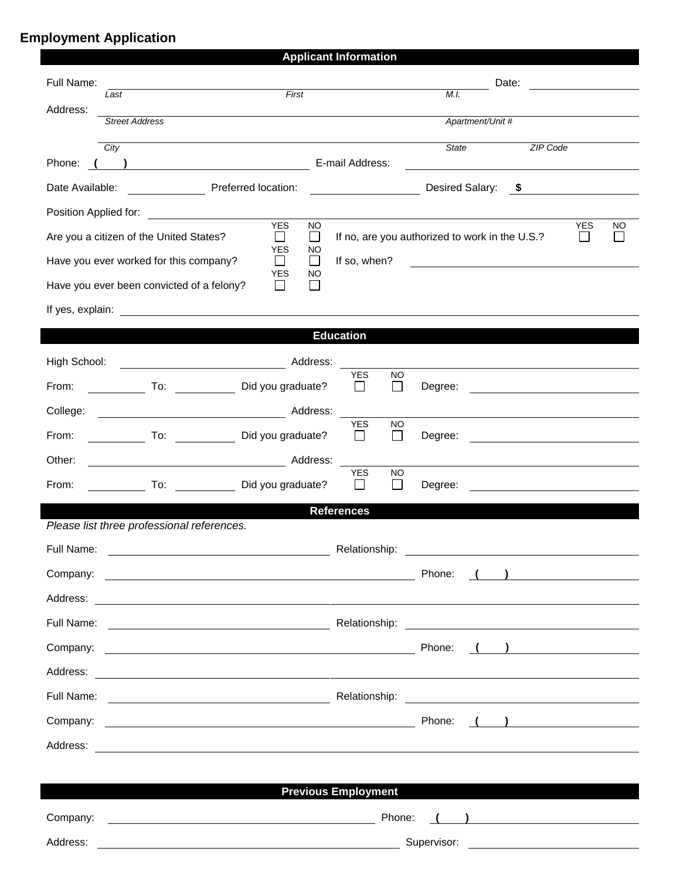## **Employment Application**

|                                         |                       |                                                                                                                        |                            |                                                                                             | <b>Applicant Information</b> |                           |                                            |                 |                                                       |              |                |  |
|-----------------------------------------|-----------------------|------------------------------------------------------------------------------------------------------------------------|----------------------------|---------------------------------------------------------------------------------------------|------------------------------|---------------------------|--------------------------------------------|-----------------|-------------------------------------------------------|--------------|----------------|--|
| Full Name:                              |                       |                                                                                                                        |                            |                                                                                             |                              | Date:                     |                                            |                 |                                                       |              |                |  |
| Address:                                | First<br>Last         |                                                                                                                        |                            |                                                                                             |                              | M.I.                      |                                            |                 |                                                       |              |                |  |
|                                         | <b>Street Address</b> | Apartment/Unit #                                                                                                       |                            |                                                                                             |                              |                           |                                            |                 |                                                       |              |                |  |
|                                         | City                  |                                                                                                                        |                            |                                                                                             |                              |                           | <b>State</b>                               |                 | ZIP Code                                              |              |                |  |
| Phone:                                  |                       |                                                                                                                        |                            |                                                                                             | E-mail Address:              |                           |                                            |                 |                                                       |              |                |  |
| Date Available:                         |                       | <b>Preferred location:</b>                                                                                             |                            |                                                                                             |                              |                           |                                            | Desired Salary: | $\sim$                                                |              |                |  |
| Position Applied for:                   |                       | <u> 1989 - Johann Barnett, fransk konge</u>                                                                            | <b>YES</b>                 | <b>NO</b>                                                                                   |                              |                           |                                            |                 |                                                       | <b>YES</b>   | NO.            |  |
| Are you a citizen of the United States? |                       |                                                                                                                        | $\Box$<br><b>YES</b>       | If no, are you authorized to work in the U.S.?<br>$\Box$<br><b>NO</b>                       |                              |                           |                                            |                 |                                                       | $\mathbf{I}$ | $\blacksquare$ |  |
|                                         |                       | Have you ever worked for this company?                                                                                 | $\mathsf{I}$<br><b>YES</b> | $\perp$<br>NO                                                                               | If so, when?                 |                           | <u> 1989 - Andrea Albert III, martin a</u> |                 |                                                       |              |                |  |
|                                         |                       | Have you ever been convicted of a felony?                                                                              | $\mathbb{R}^n$             | L                                                                                           |                              |                           |                                            |                 |                                                       |              |                |  |
| If yes, explain:                        |                       | <u> 1980 - Jan Samuel Barbara, margaret e</u> n 1980 eta 1980 - Antonio Barbara, espainiar eta 1980 - Antonio Barbara, |                            |                                                                                             |                              |                           |                                            |                 |                                                       |              |                |  |
|                                         |                       |                                                                                                                        |                            |                                                                                             | <b>Education</b>             |                           |                                            |                 |                                                       |              |                |  |
| High School:                            |                       |                                                                                                                        |                            |                                                                                             |                              |                           |                                            |                 |                                                       |              |                |  |
| From:                                   |                       | To: Did you graduate?                                                                                                  |                            |                                                                                             | YES<br>$\mathbf{L}$          | <b>NO</b><br>$\mathsf{L}$ | Degree:                                    |                 |                                                       |              |                |  |
| College:                                |                       |                                                                                                                        |                            |                                                                                             |                              |                           |                                            |                 |                                                       |              |                |  |
| From:                                   |                       | To: Did you graduate?                                                                                                  |                            |                                                                                             | <b>YES</b><br>$\Box$         | <b>NO</b><br>$\Box$       | Degree:                                    |                 | <u> 1980 - Johann Stein, fransk politik (d. 1980)</u> |              |                |  |
| Other:                                  |                       | <u> 1989 - Johann Barn, mars eta bainar eta i</u>                                                                      |                            | Address:                                                                                    | <b>YES</b>                   | <b>NO</b>                 |                                            |                 |                                                       |              |                |  |
| From:                                   |                       | To: Did you graduate?                                                                                                  |                            |                                                                                             | $\mathsf{L}$                 | П                         | Degree:                                    |                 |                                                       |              |                |  |
|                                         |                       |                                                                                                                        |                            |                                                                                             | <b>References</b>            |                           |                                            |                 |                                                       |              |                |  |
|                                         |                       | Please list three professional references.                                                                             |                            |                                                                                             |                              |                           |                                            |                 |                                                       |              |                |  |
| Full Name:                              |                       |                                                                                                                        |                            | Relationship:<br>$\left(\begin{array}{c} \begin{array}{c} \end{array}\\ \end{array}\right)$ |                              |                           |                                            |                 |                                                       |              |                |  |
| Company:                                |                       | <u> 2008 - John Stone, Amerikaans en Stone († 1878)</u>                                                                |                            |                                                                                             |                              |                           | Phone:                                     |                 |                                                       |              |                |  |
|                                         |                       |                                                                                                                        |                            |                                                                                             |                              |                           |                                            |                 |                                                       |              |                |  |
|                                         |                       |                                                                                                                        |                            |                                                                                             |                              |                           |                                            |                 |                                                       |              |                |  |
|                                         |                       |                                                                                                                        |                            |                                                                                             |                              |                           | Phone:                                     |                 | $\left(\begin{array}{cc} 1 & 1 \end{array}\right)$    |              |                |  |
|                                         |                       |                                                                                                                        |                            |                                                                                             |                              |                           |                                            |                 |                                                       |              |                |  |
|                                         |                       |                                                                                                                        |                            |                                                                                             |                              |                           |                                            |                 |                                                       |              |                |  |
|                                         |                       |                                                                                                                        |                            |                                                                                             |                              |                           |                                            |                 |                                                       |              |                |  |
|                                         |                       |                                                                                                                        |                            |                                                                                             |                              |                           |                                            |                 |                                                       |              |                |  |
|                                         |                       |                                                                                                                        |                            |                                                                                             |                              |                           |                                            |                 |                                                       |              |                |  |
|                                         |                       |                                                                                                                        |                            |                                                                                             | <b>Previous Employment</b>   |                           |                                            |                 |                                                       |              |                |  |
| Company:                                |                       | <u> 1989 - Johann Stoff, deutscher Stoffen und der Stoffen und der Stoffen und der Stoffen und der Stoffen und der</u> |                            |                                                                                             |                              | Phone:                    |                                            |                 | $\left(\begin{array}{cc} 1 & 1 \end{array}\right)$    |              |                |  |
| Address:                                |                       | <u> 1989 - Johann Stoff, Amerikaansk politiker († 1908)</u>                                                            |                            |                                                                                             |                              |                           |                                            |                 |                                                       |              |                |  |